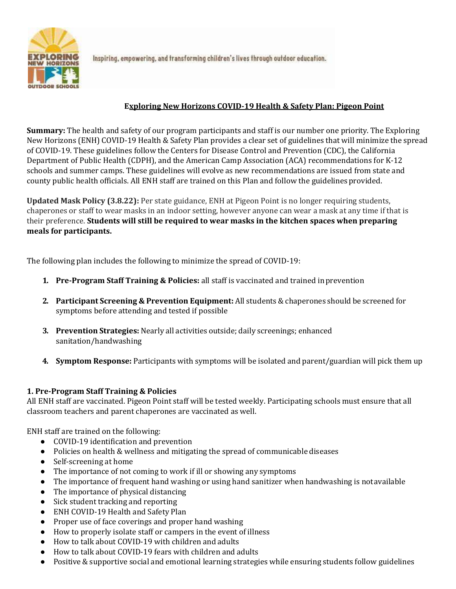

Inspiring, empowering, and transforming children's lives through outdoor education.

# **Exploring New Horizons COVID-19 Health & Safety Plan: Pigeon Point**

**Summary:** The health and safety of our program participants and staff is our number one priority. The Exploring New Horizons (ENH) COVID-19 Health & Safety Plan provides a clear set of guidelines that will minimize the spread of COVID-19. These guidelines follow the Centers for Disease Control and Prevention (CDC), the California Department of Public Health (CDPH), and the American Camp Association (ACA) recommendations for K-12 schools and summer camps. These guidelines will evolve as new recommendations are issued from state and county public health officials. All ENH staff are trained on this Plan and follow the guidelinesprovided.

**Updated Mask Policy (3.8.22):** Per state guidance, ENH at Pigeon Point is no longer requiring students, chaperones or staff to wear masks in an indoor setting, however anyone can wear a mask at any time if that is their preference. **Students will still be required to wear masks in the kitchen spaces when preparing meals for participants.**

The following plan includes the following to minimize the spread of COVID-19:

- **1. Pre-Program Staff Training & Policies:** all staff is vaccinated and trained inprevention
- **2. Participant Screening & Prevention Equipment:** All students & chaperones should be screened for symptoms before attending and tested if possible
- **3. Prevention Strategies:** Nearly all activities outside; daily screenings; enhanced sanitation/handwashing
- **4. Symptom Response:** Participants with symptoms will be isolated and parent/guardian will pick them up

## **1. Pre-Program Staff Training & Policies**

All ENH staff are vaccinated. Pigeon Point staff will be tested weekly. Participating schools must ensure that all classroom teachers and parent chaperones are vaccinated as well.

ENH staff are trained on the following:

- COVID-19 identification and prevention
- Policies on health & wellness and mitigating the spread of communicable diseases
- Self-screening at home
- The importance of not coming to work if ill or showing any symptoms
- The importance of frequent hand washing or using hand sanitizer when handwashing is notavailable
- The importance of physical distancing
- Sick student tracking and reporting
- ENH COVID-19 Health and Safety Plan
- Proper use of face coverings and proper hand washing
- How to properly isolate staff or campers in the event of illness
- How to talk about COVID-19 with children and adults
- How to talk about COVID-19 fears with children and adults
- Positive & supportive social and emotional learning strategies while ensuring students follow guidelines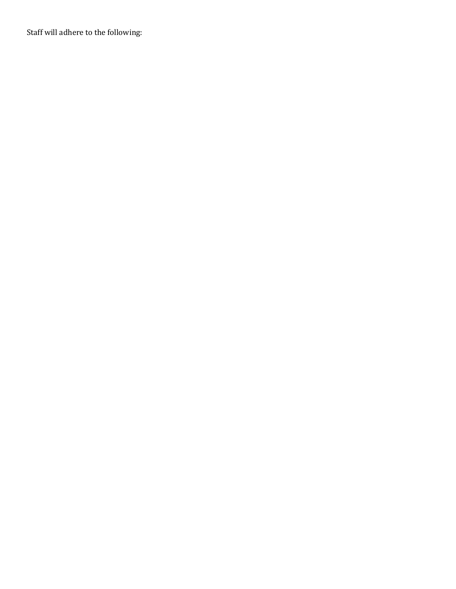Staff will adhere to the following: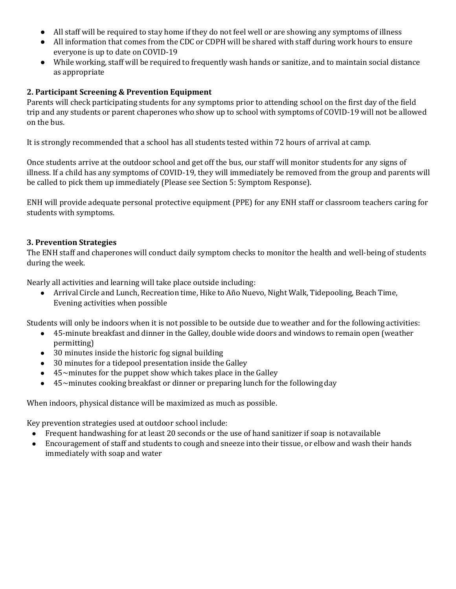- All staff will be required to stay home if they do not feel well or are showing any symptoms of illness
- All information that comes from the CDC or CDPH will be shared with staff during work hours to ensure everyone is up to date on COVID-19
- While working, staff will be required to frequently wash hands or sanitize, and to maintain social distance as appropriate

## **2. Participant Screening & Prevention Equipment**

Parents will check participating students for any symptoms prior to attending school on the first day of the field trip and any students or parent chaperones who show up to school with symptoms of COVID-19 will not be allowed on the bus.

It is strongly recommended that a school has all students tested within 72 hours of arrival at camp.

Once students arrive at the outdoor school and get off the bus, our staff will monitor students for any signs of illness. If a child has any symptoms of COVID-19, they will immediately be removed from the group and parents will be called to pick them up immediately (Please see Section 5: Symptom Response).

ENH will provide adequate personal protective equipment (PPE) for any ENH staff or classroom teachers caring for students with symptoms.

#### **3. Prevention Strategies**

The ENH staff and chaperones will conduct daily symptom checks to monitor the health and well-being of students during the week.

Nearly all activities and learning will take place outside including:

● Arrival Circle and Lunch, Recreation time, Hike to Año Nuevo, Night Walk, Tidepooling, Beach Time, Evening activities when possible

Students will only be indoors when it is not possible to be outside due to weather and for the following activities:

- 45-minute breakfast and dinner in the Galley, double wide doors and windows to remain open (weather permitting)
- 30 minutes inside the historic fog signal building
- 30 minutes for a tidepool presentation inside the Galley
- $\bullet$  45~minutes for the puppet show which takes place in the Galley
- 45~minutes cooking breakfast or dinner or preparing lunch for the followingday

When indoors, physical distance will be maximized as much as possible.

Key prevention strategies used at outdoor school include:

- Frequent handwashing for at least 20 seconds or the use of hand sanitizer if soap is not available
- Encouragement of staff and students to cough and sneeze into their tissue, or elbow and wash their hands immediately with soap and water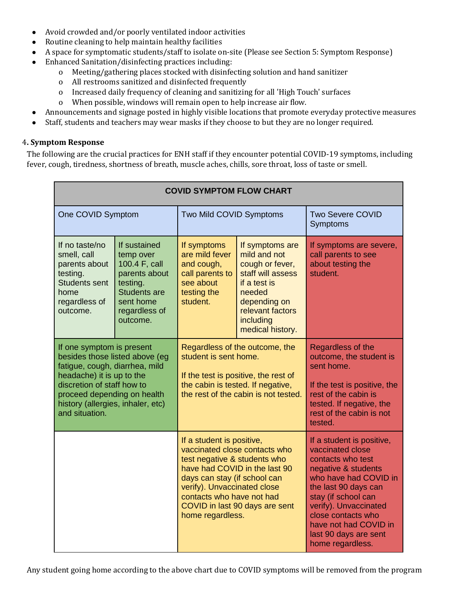- Avoid crowded and/or poorly ventilated indoor activities
- Routine cleaning to help maintain healthy facilities
- A space for symptomatic students/staff to isolate on-site (Please see Section 5: Symptom Response)
- Enhanced Sanitation/disinfecting practices including:
	- o Meeting/gathering places stocked with disinfecting solution and hand sanitizer
		- o All restrooms sanitized and disinfected frequently
		- o Increased daily frequency of cleaning and sanitizing for all 'High Touch' surfaces
		- o When possible, windows will remain open to help increase air flow.
- Announcements and signage posted in highly visible locations that promote everyday protective measures
- Staff, students and teachers may wear masks if they choose to but they are no longer required.

#### 4**. Symptom Response**

The following are the crucial practices for ENH staff if they encounter potential COVID-19 symptoms, including fever, cough, tiredness, shortness of breath, muscle aches, chills, sore throat, loss of taste or smell.

| <b>COVID SYMPTOM FLOW CHART</b>                                                                                                                                                                                                                |                                                                                                                                          |                                                                                                                                                                                                                                                                               |                                                                                                                                                                        |                                                                                                                                                                                                                                                                                        |
|------------------------------------------------------------------------------------------------------------------------------------------------------------------------------------------------------------------------------------------------|------------------------------------------------------------------------------------------------------------------------------------------|-------------------------------------------------------------------------------------------------------------------------------------------------------------------------------------------------------------------------------------------------------------------------------|------------------------------------------------------------------------------------------------------------------------------------------------------------------------|----------------------------------------------------------------------------------------------------------------------------------------------------------------------------------------------------------------------------------------------------------------------------------------|
| One COVID Symptom                                                                                                                                                                                                                              |                                                                                                                                          | Two Mild COVID Symptoms                                                                                                                                                                                                                                                       |                                                                                                                                                                        | <b>Two Severe COVID</b><br>Symptoms                                                                                                                                                                                                                                                    |
| If no taste/no<br>smell, call<br>parents about<br>testing.<br><b>Students sent</b><br>home<br>regardless of<br>outcome.                                                                                                                        | If sustained<br>temp over<br>100.4 F, call<br>parents about<br>testing.<br><b>Students are</b><br>sent home<br>regardless of<br>outcome. | If symptoms<br>are mild fever<br>and cough,<br>call parents to<br>see about<br>testing the<br>student.                                                                                                                                                                        | If symptoms are<br>mild and not<br>cough or fever,<br>staff will assess<br>if a test is<br>needed<br>depending on<br>relevant factors<br>including<br>medical history. | If symptoms are severe,<br>call parents to see<br>about testing the<br>student.                                                                                                                                                                                                        |
| If one symptom is present<br>besides those listed above (eq<br>fatigue, cough, diarrhea, mild<br>headache) it is up to the<br>discretion of staff how to<br>proceed depending on health<br>history (allergies, inhaler, etc)<br>and situation. |                                                                                                                                          | Regardless of the outcome, the<br>student is sent home.<br>If the test is positive, the rest of<br>the cabin is tested. If negative,<br>the rest of the cabin is not tested.                                                                                                  |                                                                                                                                                                        | Regardless of the<br>outcome, the student is<br>sent home.<br>If the test is positive, the<br>rest of the cabin is<br>tested. If negative, the<br>rest of the cabin is not<br>tested.                                                                                                  |
|                                                                                                                                                                                                                                                |                                                                                                                                          | If a student is positive,<br>vaccinated close contacts who<br>test negative & students who<br>have had COVID in the last 90<br>days can stay (if school can<br>verify). Unvaccinated close<br>contacts who have not had<br>COVID in last 90 days are sent<br>home regardless. |                                                                                                                                                                        | If a student is positive,<br>vaccinated close<br>contacts who test<br>negative & students<br>who have had COVID in<br>the last 90 days can<br>stay (if school can<br>verify). Unvaccinated<br>close contacts who<br>have not had COVID in<br>last 90 days are sent<br>home regardless. |

Any student going home according to the above chart due to COVID symptoms will be removed from the program